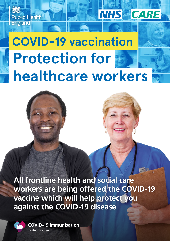

**NHS CARE** 

**All frontline health and social care workers are being offered the COVID-19 vaccine which will help protect you against the COVID-19 disease**



**Public Health** 

England

**COVID-19 immunisation** Protect yourself.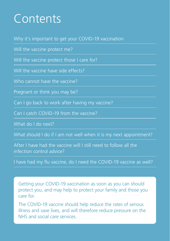# Contents

Why it's important to get your COVID-19 vaccination

Will the vaccine protect me?

Will the vaccine protect those I care for?

Will the vaccine have side effects?

Who cannot have the vaccine?

Pregnant or think you may be?

Can I go back to work after having my vaccine?

Can I catch COVID-19 from the vaccine?

What do I do next?

What should I do if I am not well when it is my next appointment?

After I have had the vaccine will I still need to follow all the infection control advice?

I have had my flu vaccine, do I need the COVID-19 vaccine as well?

Getting your COVID-19 vaccination as soon as you can should protect you, and may help to protect your family and those you care for.

The COVID-19 vaccine should help reduce the rates of serious illness and save lives, and will therefore reduce pressure on the NHS and social care services.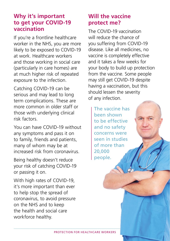## **Why it's important to get your COVID-19 vaccination**

If you're a frontline healthcare worker in the NHS, you are more likely to be exposed to COVID-19 at work. Healthcare workers and those working in social care (particularly in care homes) are at much higher risk of repeated exposure to the infection.

Catching COVID-19 can be serious and may lead to long term complications. These are more common in older staff or those with underlying clinical risk factors.

You can have COVID-19 without any symptoms and pass it on to family, friends and patients, many of whom may be at increased risk from coronavirus.

Being healthy doesn't reduce your risk of catching COVID-19 or passing it on.

With high rates of COVID-19, it's more important than ever to help stop the spread of coronavirus, to avoid pressure on the NHS and to keep the health and social care workforce healthy.

## **Will the vaccine protect me?**

The COVID-19 vaccination will reduce the chance of you suffering from COVID-19 disease. Like all medicines, no vaccine is completely effective and it takes a few weeks for your body to build up protection from the vaccine. Some people may still get COVID-19 despite having a vaccination, but this should lessen the severity of any infection.

The vaccine has been shown to be effective and no safety concerns were seen in studies of more than 20,000 people.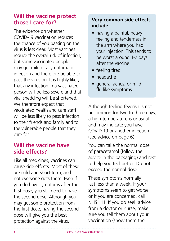# **Will the vaccine protect those I care for?**

The evidence on whether COVID-19 vaccination reduces the chance of you passing on the virus is less clear. Most vaccines reduce the overall risk of infection, but some vaccinated people may get mild or asymptomatic infection and therefore be able to pass the virus on. It is highly likely that any infection in a vaccinated person will be less severe and that viral shedding will be shortened. We therefore expect that vaccinated health and care staff will be less likely to pass infection to their friends and family and to the vulnerable people that they care for.

#### **Will the vaccine have side effects?**

Like all medicines, vaccines can cause side effects. Most of these are mild and short-term, and not everyone gets them. Even if you do have symptoms after the first dose, you still need to have the second dose. Although you may get some protection from the first dose, having the second dose will give you the best protection against the virus.

#### **Very common side effects include:**

- having a painful, heavy feeling and tenderness in the arm where you had your injection. This tends to be worst around 1-2 days after the vaccine
- feeling tired
- headache
- general aches, or mild flu like symptoms

Although feeling feverish is not uncommon for two to three days, a high temperature is unusual and may indicate you have COVID-19 or another infection (see advice on page 6).

You can take the normal dose of paracetamol (follow the advice in the packaging) and rest to help you feel better. Do not exceed the normal dose.

These symptoms normally last less than a week. If your symptoms seem to get worse or if you are concerned, call NHS 111. If you do seek advice from a doctor or nurse, make sure you tell them about your vaccination (show them the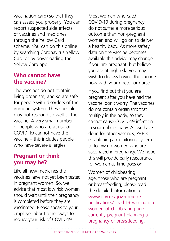vaccination card) so that they can assess you properly. You can report suspected side effects of vaccines and medicines through the Yellow Card scheme. You can do this online by searching Coronavirus Yellow Card or by downloading the Yellow Card app.

#### **Who cannot have the vaccine?**

The vaccines do not contain living organism, and so are safe for people with disorders of the immune system. These people may not respond so well to the vaccine. A very small number of people who are at risk of COVID-19 cannot have the vaccine – this includes people who have severe allergies.

## **Pregnant or think you may be?**

Like all new medicines the vaccines have not yet been tested in pregnant women. So, we advise that most low risk women should wait until their pregnancy is completed before they are vaccinated. Please speak to your employer about other ways to reduce your risk of COVID-19.

Most women who catch COVID-19 during pregnancy do not suffer a more serious outcome than non-pregnant women and will go on to deliver a healthy baby. As more safety data on the vaccine becomes available this advice may change. If you are pregnant, but believe you are at high risk, you may wish to discuss having the vaccine now with your doctor or nurse.

If you find out that you are pregnant after you have had the vaccine, don't worry. The vaccines do not contain organisms that multiply in the body, so they cannot cause COVID-19 infection in your unborn baby. As we have done for other vaccines, PHE is establishing a monitoring system to follow up women who are vaccinated in pregnancy. We hope this will provide early reassurance for women as time goes on.

Women of childbearing age, those who are pregnant or breastfeeding, please read the detailed information at [www.gov.uk/government/](https://www.gov.uk/government/publications/covid-19-vaccination-women-of-childbearing-age-currently-pregnant-planning-a-pregnancy-or-breastfeeding) [publications/covid-19-vaccination](https://www.gov.uk/government/publications/covid-19-vaccination-women-of-childbearing-age-currently-pregnant-planning-a-pregnancy-or-breastfeeding)[women-of-childbearing-age](https://www.gov.uk/government/publications/covid-19-vaccination-women-of-childbearing-age-currently-pregnant-planning-a-pregnancy-or-breastfeeding)[currently-pregnant-planning-a](https://www.gov.uk/government/publications/covid-19-vaccination-women-of-childbearing-age-currently-pregnant-planning-a-pregnancy-or-breastfeeding)[pregnancy-or-breastfeeding.](https://www.gov.uk/government/publications/covid-19-vaccination-women-of-childbearing-age-currently-pregnant-planning-a-pregnancy-or-breastfeeding)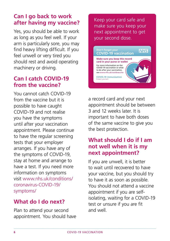# **Can I go back to work after having my vaccine?**

Yes, you should be able to work as long as you feel well. If your arm is particularly sore, you may find heavy lifting difficult. If you feel unwell or very tired you should rest and avoid operating machinery or driving.

# **Can I catch COVID-19 from the vaccine?**

You cannot catch COVID-19 from the vaccine but it is possible to have caught COVID-19 and not realise you have the symptoms until after your vaccination appointment. Please continue to have the regular screening tests that your employer arranges. If you have any of the symptoms of COVID-19, stay at home and arrange to have a test. If you need more information on symptoms visit [www.nhs.uk/conditions/](http://www.nhs.uk/conditions/coronavirus-covid-19/symptoms/) [coronavirus-COVID-19/](http://www.nhs.uk/conditions/coronavirus-covid-19/symptoms/) [symptoms/](http://www.nhs.uk/conditions/coronavirus-covid-19/symptoms/)

# **What do I do next?**

Plan to attend your second appointment. You should have

Keep your card safe and make sure you keep your next appointment to get your second dose.



a record card and your next appointment should be between 3 and 12 weeks later. It is important to have both doses of the same vaccine to give you the best protection.

## **What should I do if I am not well when it is my next appointment?**

If you are unwell, it is better to wait until recovered to have your vaccine, but you should try to have it as soon as possible. You should not attend a vaccine appointment if you are selfisolating, waiting for a COVID-19 test or unsure if you are fit and well.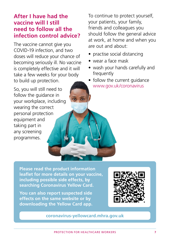## **After I have had the vaccine will I still need to follow all the infection control advice?**

The vaccine cannot give you COVID-19 infection, and two doses will reduce your chance of becoming seriously ill. No vaccine is completely effective and it will take a few weeks for your body to build up protection.

So, you will still need to follow the guidance in your workplace, including wearing the correct personal protection equipment and taking part in any screening programmes.

To continue to protect yourself, your patients, your family, friends and colleagues you should follow the general advice at work, at home and when you are out and about:

- practise social distancing
- wear a face mask
- wash your hands carefully and frequently
- follow the current guidance [www.gov.uk/coronavirus](http://www.gov.uk/coronavirus)

**Please read the product information leaflet for more details on your vaccine, including possible side effects, by searching Coronavirus Yellow Card.**

**You can also report suspected side effects on the same website or by downloading the Yellow Card app.**



**[coronavirus-yellowcard.mhra.gov.uk](https://coronavirus-yellowcard.mhra.gov.uk/)**